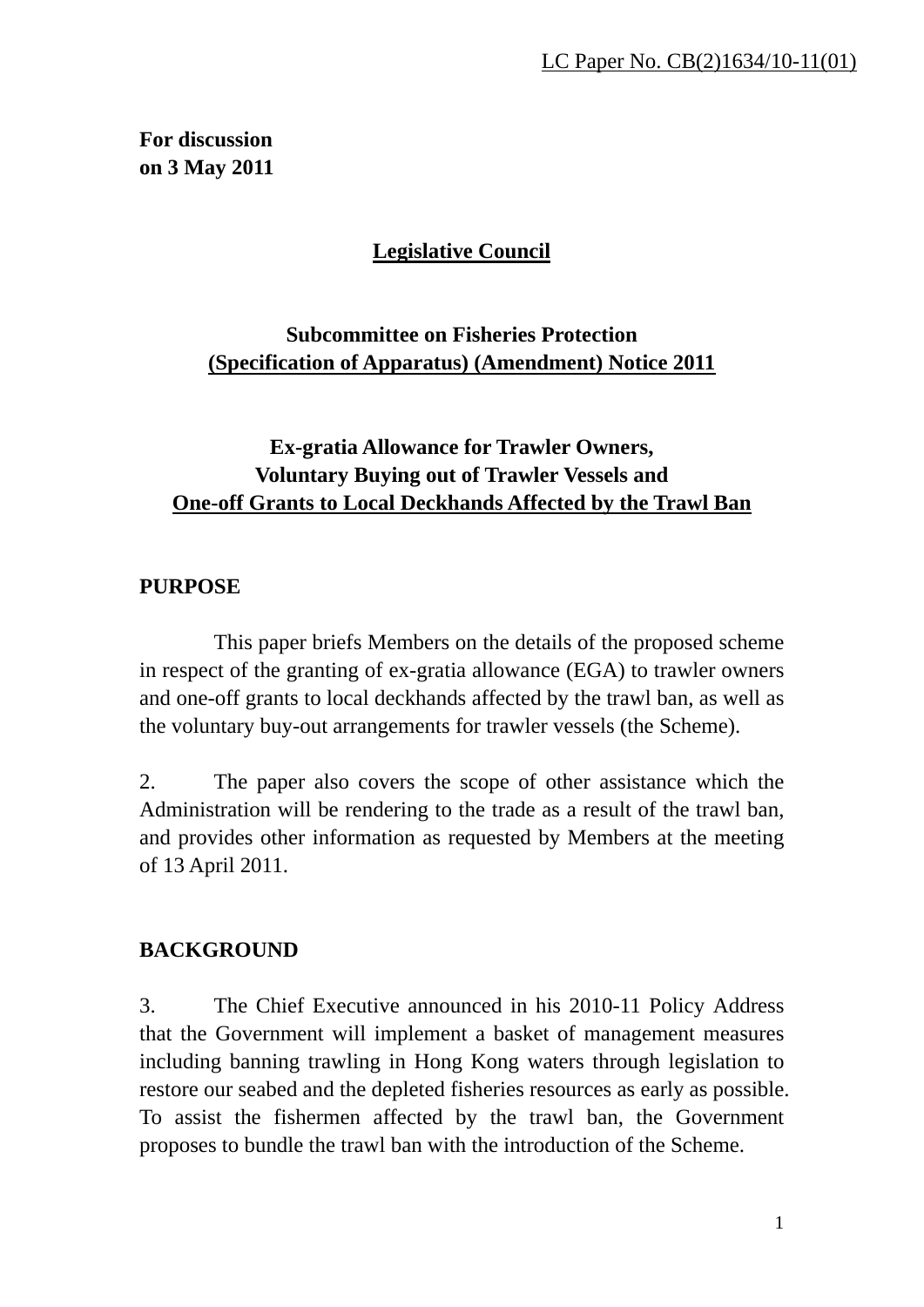# **For discussion on 3 May 2011**

# **Legislative Council**

# **Subcommittee on Fisheries Protection (Specification of Apparatus) (Amendment) Notice 2011**

# **Ex-gratia Allowance for Trawler Owners, Voluntary Buying out of Trawler Vessels and One-off Grants to Local Deckhands Affected by the Trawl Ban**

### **PURPOSE**

 This paper briefs Members on the details of the proposed scheme in respect of the granting of ex-gratia allowance (EGA) to trawler owners and one-off grants to local deckhands affected by the trawl ban, as well as the voluntary buy-out arrangements for trawler vessels (the Scheme).

2. The paper also covers the scope of other assistance which the Administration will be rendering to the trade as a result of the trawl ban, and provides other information as requested by Members at the meeting of 13 April 2011.

# **BACKGROUND**

3. The Chief Executive announced in his 2010-11 Policy Address that the Government will implement a basket of management measures including banning trawling in Hong Kong waters through legislation to restore our seabed and the depleted fisheries resources as early as possible. To assist the fishermen affected by the trawl ban, the Government proposes to bundle the trawl ban with the introduction of the Scheme.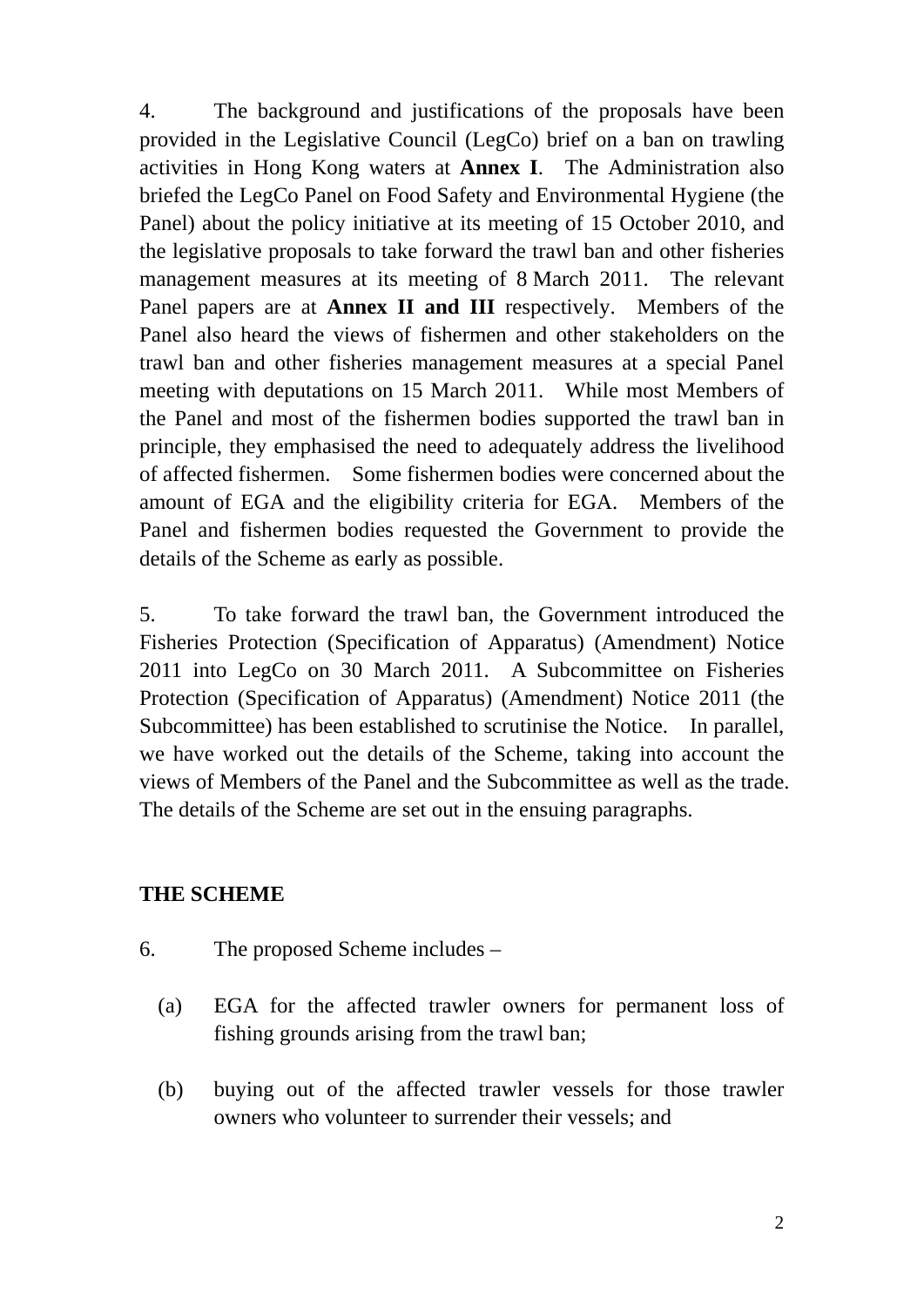4. The background and justifications of the proposals have been provided in the Legislative Council (LegCo) brief on a ban on trawling activities in Hong Kong waters at **Annex I**. The Administration also briefed the LegCo Panel on Food Safety and Environmental Hygiene (the Panel) about the policy initiative at its meeting of 15 October 2010, and the legislative proposals to take forward the trawl ban and other fisheries management measures at its meeting of 8 March 2011. The relevant Panel papers are at **Annex II and III** respectively. Members of the Panel also heard the views of fishermen and other stakeholders on the trawl ban and other fisheries management measures at a special Panel meeting with deputations on 15 March 2011. While most Members of the Panel and most of the fishermen bodies supported the trawl ban in principle, they emphasised the need to adequately address the livelihood of affected fishermen. Some fishermen bodies were concerned about the amount of EGA and the eligibility criteria for EGA. Members of the Panel and fishermen bodies requested the Government to provide the details of the Scheme as early as possible.

5. To take forward the trawl ban, the Government introduced the Fisheries Protection (Specification of Apparatus) (Amendment) Notice 2011 into LegCo on 30 March 2011. A Subcommittee on Fisheries Protection (Specification of Apparatus) (Amendment) Notice 2011 (the Subcommittee) has been established to scrutinise the Notice. In parallel, we have worked out the details of the Scheme, taking into account the views of Members of the Panel and the Subcommittee as well as the trade. The details of the Scheme are set out in the ensuing paragraphs.

#### **THE SCHEME**

- 6. The proposed Scheme includes
	- (a) EGA for the affected trawler owners for permanent loss of fishing grounds arising from the trawl ban;
	- (b) buying out of the affected trawler vessels for those trawler owners who volunteer to surrender their vessels; and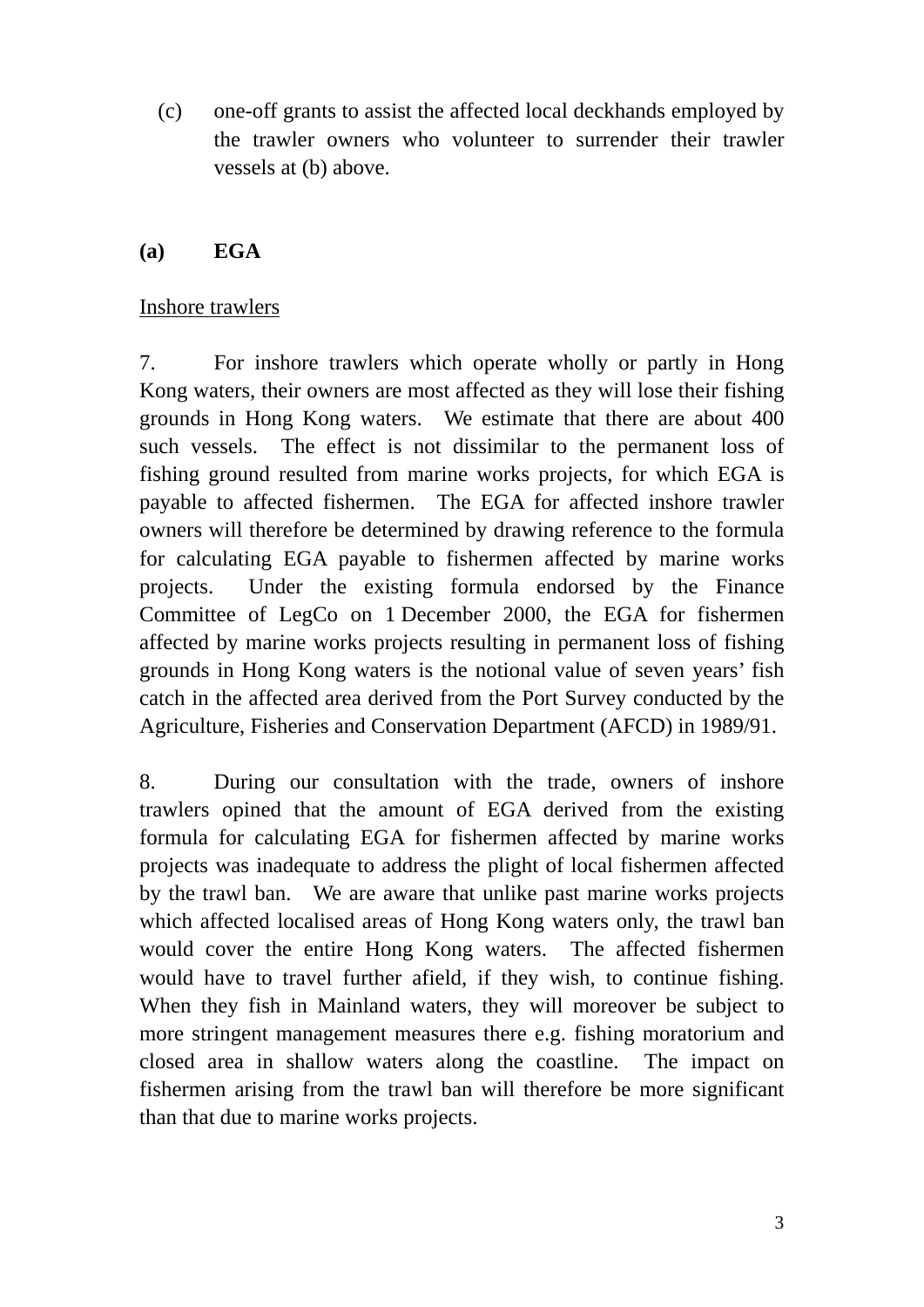(c) one-off grants to assist the affected local deckhands employed by the trawler owners who volunteer to surrender their trawler vessels at (b) above.

#### **(a) EGA**

#### Inshore trawlers

7. For inshore trawlers which operate wholly or partly in Hong Kong waters, their owners are most affected as they will lose their fishing grounds in Hong Kong waters. We estimate that there are about 400 such vessels. The effect is not dissimilar to the permanent loss of fishing ground resulted from marine works projects, for which EGA is payable to affected fishermen. The EGA for affected inshore trawler owners will therefore be determined by drawing reference to the formula for calculating EGA payable to fishermen affected by marine works projects. Under the existing formula endorsed by the Finance Committee of LegCo on 1 December 2000, the EGA for fishermen affected by marine works projects resulting in permanent loss of fishing grounds in Hong Kong waters is the notional value of seven years' fish catch in the affected area derived from the Port Survey conducted by the Agriculture, Fisheries and Conservation Department (AFCD) in 1989/91.

8. During our consultation with the trade, owners of inshore trawlers opined that the amount of EGA derived from the existing formula for calculating EGA for fishermen affected by marine works projects was inadequate to address the plight of local fishermen affected by the trawl ban. We are aware that unlike past marine works projects which affected localised areas of Hong Kong waters only, the trawl ban would cover the entire Hong Kong waters. The affected fishermen would have to travel further afield, if they wish, to continue fishing. When they fish in Mainland waters, they will moreover be subject to more stringent management measures there e.g. fishing moratorium and closed area in shallow waters along the coastline. The impact on fishermen arising from the trawl ban will therefore be more significant than that due to marine works projects.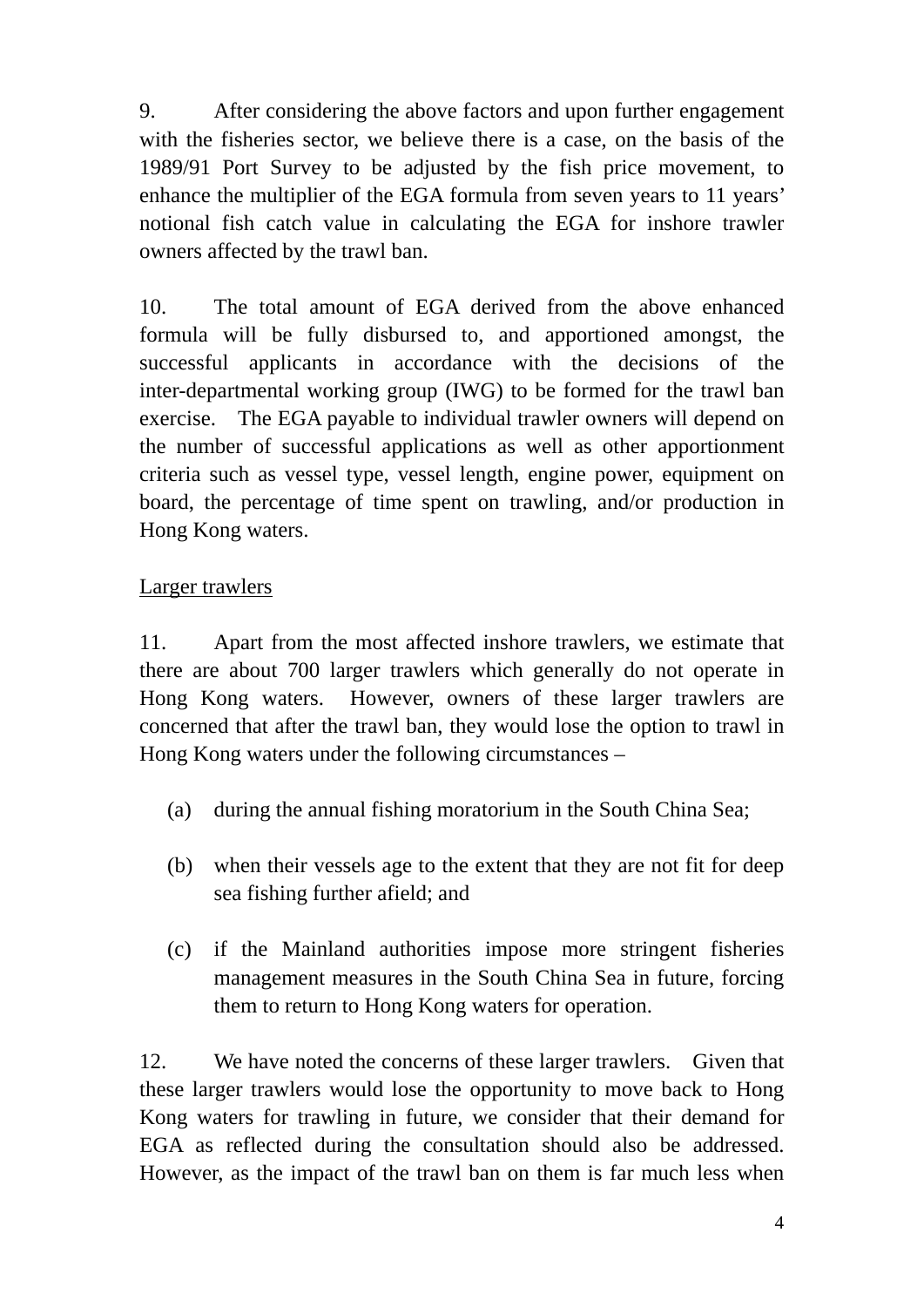9. After considering the above factors and upon further engagement with the fisheries sector, we believe there is a case, on the basis of the 1989/91 Port Survey to be adjusted by the fish price movement, to enhance the multiplier of the EGA formula from seven years to 11 years' notional fish catch value in calculating the EGA for inshore trawler owners affected by the trawl ban.

10. The total amount of EGA derived from the above enhanced formula will be fully disbursed to, and apportioned amongst, the successful applicants in accordance with the decisions of the inter-departmental working group (IWG) to be formed for the trawl ban exercise. The EGA payable to individual trawler owners will depend on the number of successful applications as well as other apportionment criteria such as vessel type, vessel length, engine power, equipment on board, the percentage of time spent on trawling, and/or production in Hong Kong waters.

# Larger trawlers

11. Apart from the most affected inshore trawlers, we estimate that there are about 700 larger trawlers which generally do not operate in Hong Kong waters. However, owners of these larger trawlers are concerned that after the trawl ban, they would lose the option to trawl in Hong Kong waters under the following circumstances –

- (a) during the annual fishing moratorium in the South China Sea;
- (b) when their vessels age to the extent that they are not fit for deep sea fishing further afield; and
- (c) if the Mainland authorities impose more stringent fisheries management measures in the South China Sea in future, forcing them to return to Hong Kong waters for operation.

12. We have noted the concerns of these larger trawlers. Given that these larger trawlers would lose the opportunity to move back to Hong Kong waters for trawling in future, we consider that their demand for EGA as reflected during the consultation should also be addressed. However, as the impact of the trawl ban on them is far much less when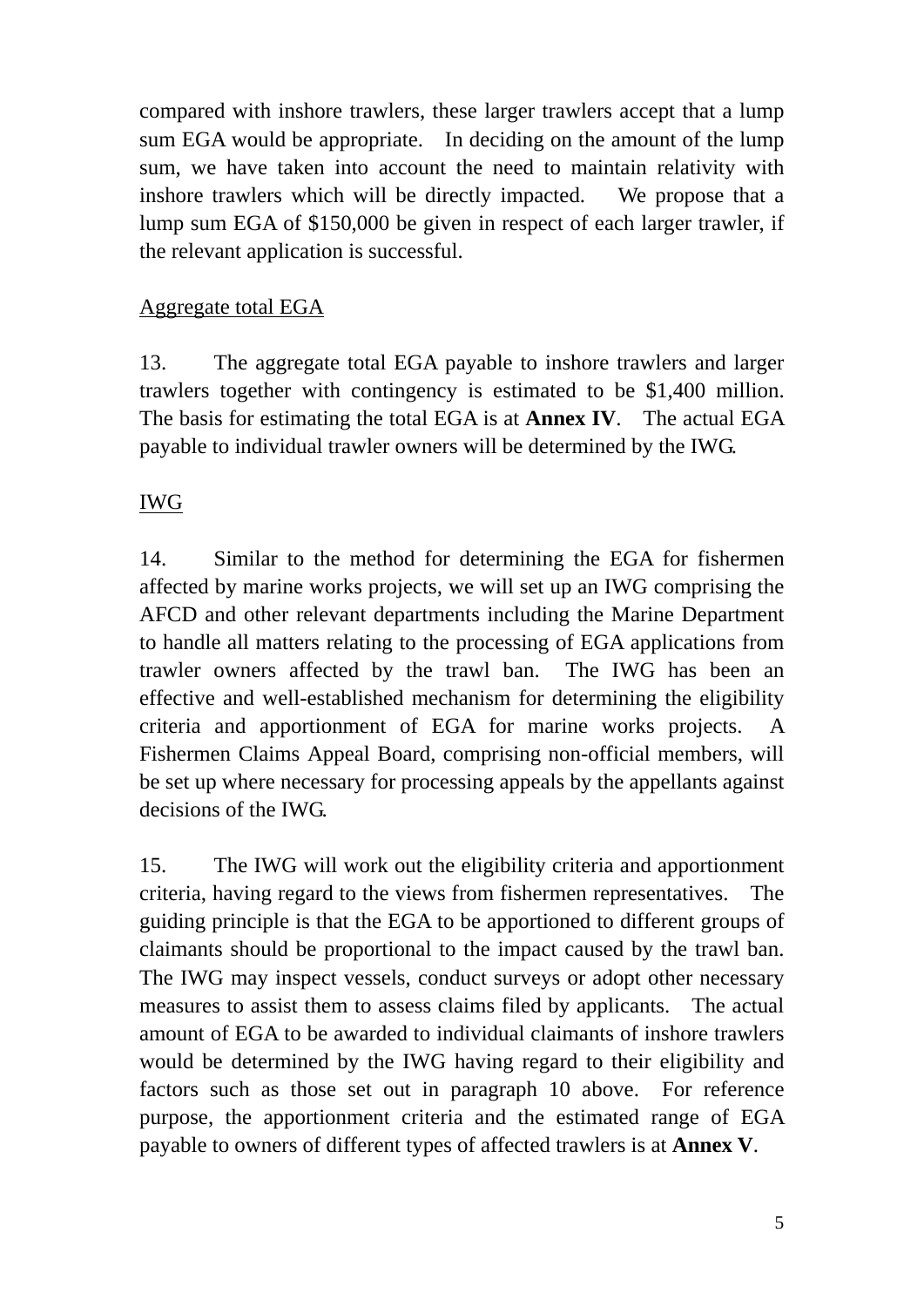compared with inshore trawlers, these larger trawlers accept that a lump sum EGA would be appropriate. In deciding on the amount of the lump sum, we have taken into account the need to maintain relativity with inshore trawlers which will be directly impacted. We propose that a lump sum EGA of \$150,000 be given in respect of each larger trawler, if the relevant application is successful.

### Aggregate total EGA

13. The aggregate total EGA payable to inshore trawlers and larger trawlers together with contingency is estimated to be \$1,400 million. The basis for estimating the total EGA is at **Annex IV**. The actual EGA payable to individual trawler owners will be determined by the IWG.

# IWG

14. Similar to the method for determining the EGA for fishermen affected by marine works projects, we will set up an IWG comprising the AFCD and other relevant departments including the Marine Department to handle all matters relating to the processing of EGA applications from trawler owners affected by the trawl ban. The IWG has been an effective and well-established mechanism for determining the eligibility criteria and apportionment of EGA for marine works projects. A Fishermen Claims Appeal Board, comprising non-official members, will be set up where necessary for processing appeals by the appellants against decisions of the IWG.

15. The IWG will work out the eligibility criteria and apportionment criteria, having regard to the views from fishermen representatives. The guiding principle is that the EGA to be apportioned to different groups of claimants should be proportional to the impact caused by the trawl ban. The IWG may inspect vessels, conduct surveys or adopt other necessary measures to assist them to assess claims filed by applicants. The actual amount of EGA to be awarded to individual claimants of inshore trawlers would be determined by the IWG having regard to their eligibility and factors such as those set out in paragraph 10 above. For reference purpose, the apportionment criteria and the estimated range of EGA payable to owners of different types of affected trawlers is at **Annex V**.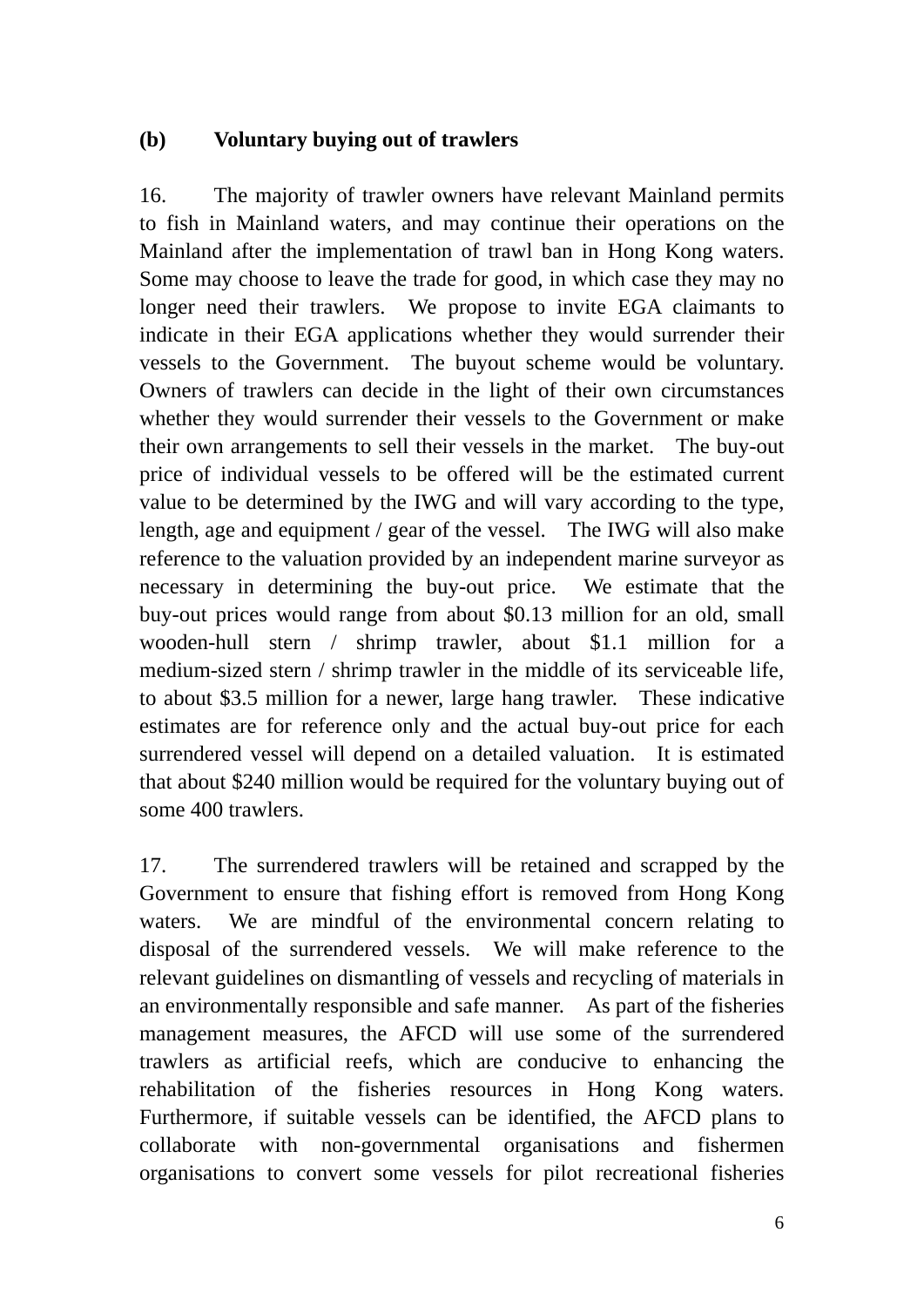#### **(b) Voluntary buying out of trawlers**

16. The majority of trawler owners have relevant Mainland permits to fish in Mainland waters, and may continue their operations on the Mainland after the implementation of trawl ban in Hong Kong waters. Some may choose to leave the trade for good, in which case they may no longer need their trawlers. We propose to invite EGA claimants to indicate in their EGA applications whether they would surrender their vessels to the Government. The buyout scheme would be voluntary. Owners of trawlers can decide in the light of their own circumstances whether they would surrender their vessels to the Government or make their own arrangements to sell their vessels in the market. The buy-out price of individual vessels to be offered will be the estimated current value to be determined by the IWG and will vary according to the type, length, age and equipment / gear of the vessel. The IWG will also make reference to the valuation provided by an independent marine surveyor as necessary in determining the buy-out price. We estimate that the buy-out prices would range from about \$0.13 million for an old, small wooden-hull stern / shrimp trawler, about \$1.1 million for a medium-sized stern / shrimp trawler in the middle of its serviceable life, to about \$3.5 million for a newer, large hang trawler. These indicative estimates are for reference only and the actual buy-out price for each surrendered vessel will depend on a detailed valuation. It is estimated that about \$240 million would be required for the voluntary buying out of some 400 trawlers.

17. The surrendered trawlers will be retained and scrapped by the Government to ensure that fishing effort is removed from Hong Kong waters. We are mindful of the environmental concern relating to disposal of the surrendered vessels. We will make reference to the relevant guidelines on dismantling of vessels and recycling of materials in an environmentally responsible and safe manner. As part of the fisheries management measures, the AFCD will use some of the surrendered trawlers as artificial reefs, which are conducive to enhancing the rehabilitation of the fisheries resources in Hong Kong waters. Furthermore, if suitable vessels can be identified, the AFCD plans to collaborate with non-governmental organisations and fishermen organisations to convert some vessels for pilot recreational fisheries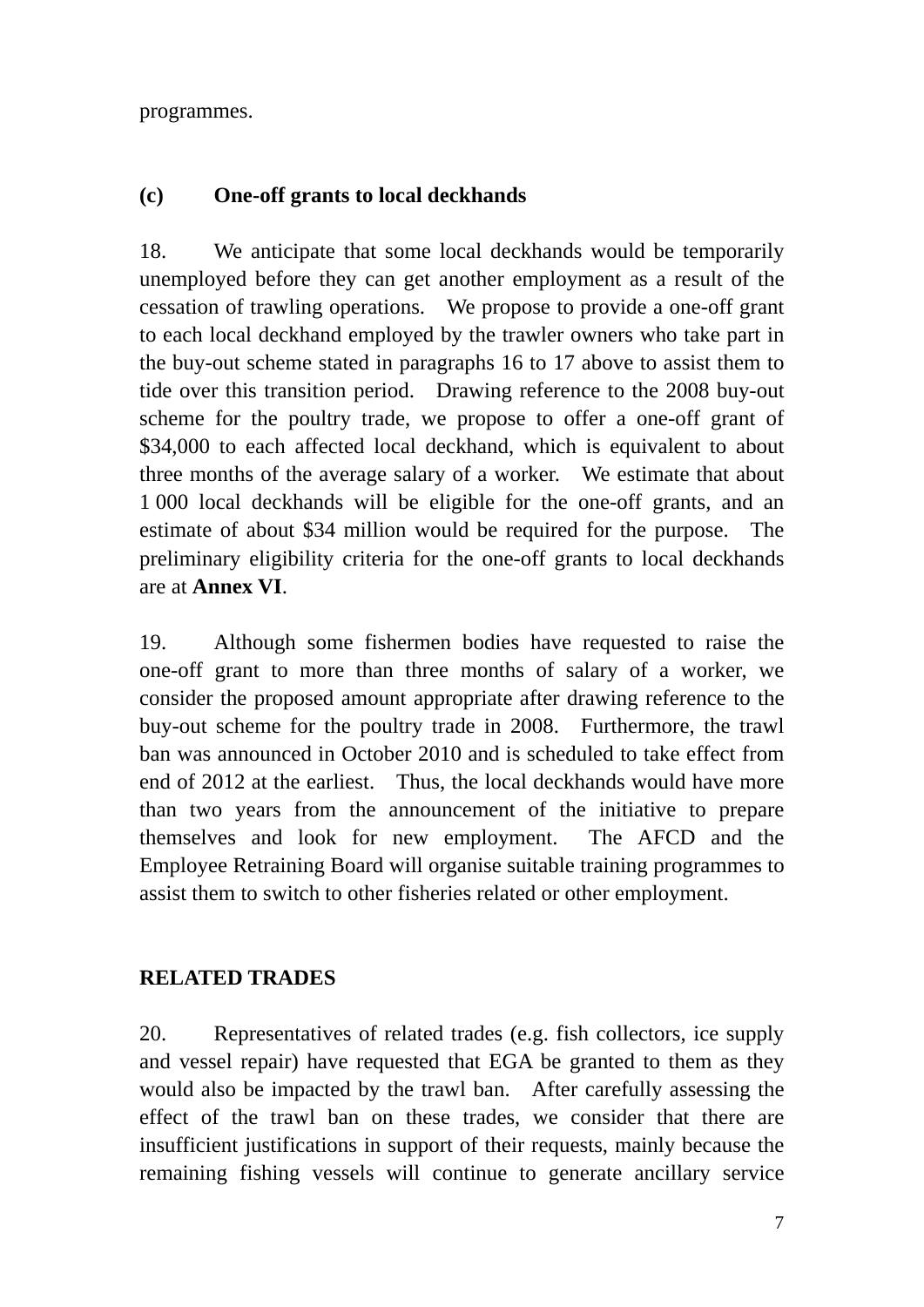programmes.

# **(c) One-off grants to local deckhands**

18. We anticipate that some local deckhands would be temporarily unemployed before they can get another employment as a result of the cessation of trawling operations. We propose to provide a one-off grant to each local deckhand employed by the trawler owners who take part in the buy-out scheme stated in paragraphs 16 to 17 above to assist them to tide over this transition period. Drawing reference to the 2008 buy-out scheme for the poultry trade, we propose to offer a one-off grant of \$34,000 to each affected local deckhand, which is equivalent to about three months of the average salary of a worker. We estimate that about 1 000 local deckhands will be eligible for the one-off grants, and an estimate of about \$34 million would be required for the purpose. The preliminary eligibility criteria for the one-off grants to local deckhands are at **Annex VI**.

19. Although some fishermen bodies have requested to raise the one-off grant to more than three months of salary of a worker, we consider the proposed amount appropriate after drawing reference to the buy-out scheme for the poultry trade in 2008. Furthermore, the trawl ban was announced in October 2010 and is scheduled to take effect from end of 2012 at the earliest. Thus, the local deckhands would have more than two years from the announcement of the initiative to prepare themselves and look for new employment. The AFCD and the Employee Retraining Board will organise suitable training programmes to assist them to switch to other fisheries related or other employment.

# **RELATED TRADES**

20. Representatives of related trades (e.g. fish collectors, ice supply and vessel repair) have requested that EGA be granted to them as they would also be impacted by the trawl ban. After carefully assessing the effect of the trawl ban on these trades, we consider that there are insufficient justifications in support of their requests, mainly because the remaining fishing vessels will continue to generate ancillary service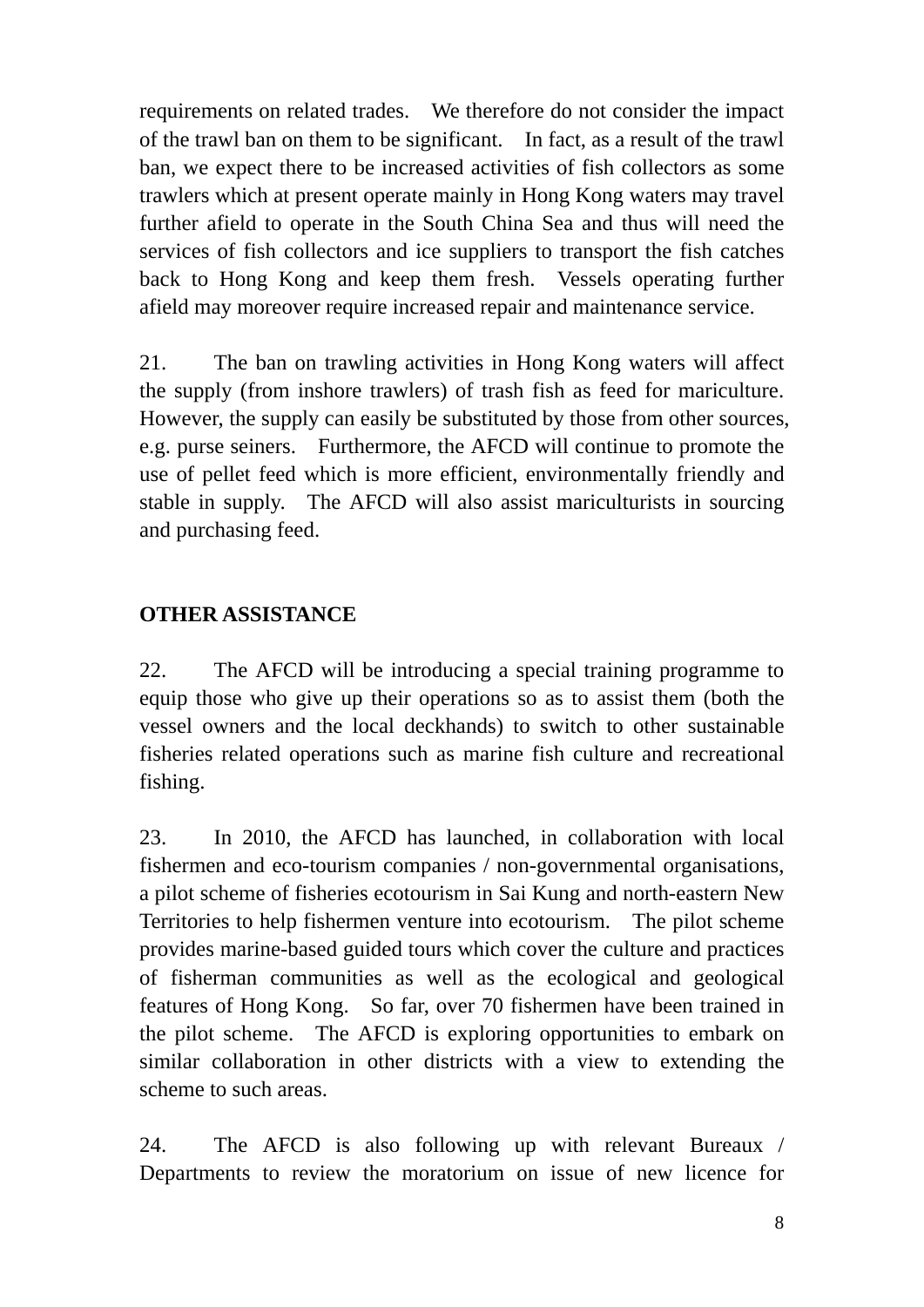requirements on related trades. We therefore do not consider the impact of the trawl ban on them to be significant. In fact, as a result of the trawl ban, we expect there to be increased activities of fish collectors as some trawlers which at present operate mainly in Hong Kong waters may travel further afield to operate in the South China Sea and thus will need the services of fish collectors and ice suppliers to transport the fish catches back to Hong Kong and keep them fresh. Vessels operating further afield may moreover require increased repair and maintenance service.

21. The ban on trawling activities in Hong Kong waters will affect the supply (from inshore trawlers) of trash fish as feed for mariculture. However, the supply can easily be substituted by those from other sources, e.g. purse seiners. Furthermore, the AFCD will continue to promote the use of pellet feed which is more efficient, environmentally friendly and stable in supply. The AFCD will also assist mariculturists in sourcing and purchasing feed.

# **OTHER ASSISTANCE**

22. The AFCD will be introducing a special training programme to equip those who give up their operations so as to assist them (both the vessel owners and the local deckhands) to switch to other sustainable fisheries related operations such as marine fish culture and recreational fishing.

23. In 2010, the AFCD has launched, in collaboration with local fishermen and eco-tourism companies / non-governmental organisations, a pilot scheme of fisheries ecotourism in Sai Kung and north-eastern New Territories to help fishermen venture into ecotourism. The pilot scheme provides marine-based guided tours which cover the culture and practices of fisherman communities as well as the ecological and geological features of Hong Kong. So far, over 70 fishermen have been trained in the pilot scheme. The AFCD is exploring opportunities to embark on similar collaboration in other districts with a view to extending the scheme to such areas.

24. The AFCD is also following up with relevant Bureaux / Departments to review the moratorium on issue of new licence for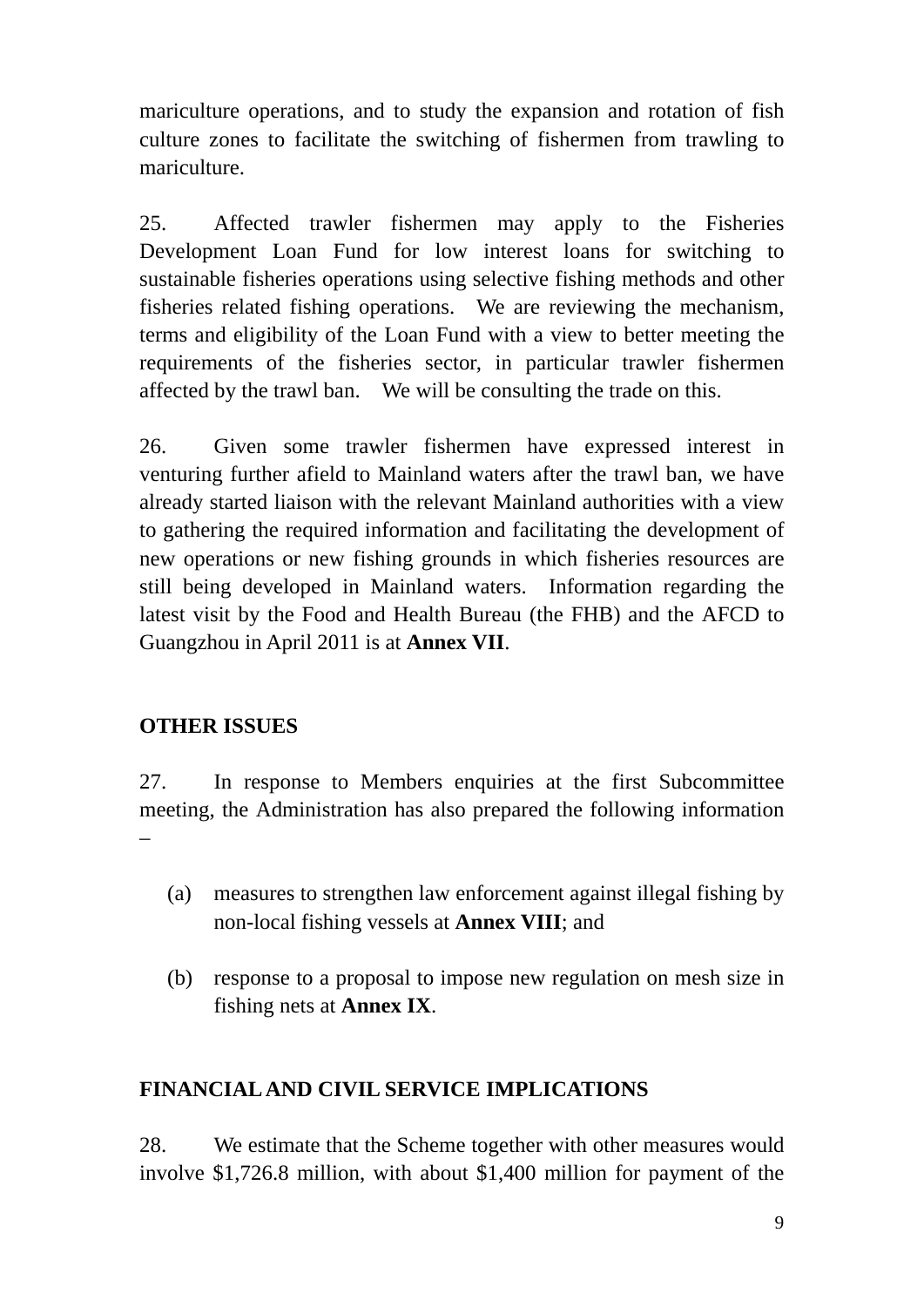mariculture operations, and to study the expansion and rotation of fish culture zones to facilitate the switching of fishermen from trawling to mariculture.

25. Affected trawler fishermen may apply to the Fisheries Development Loan Fund for low interest loans for switching to sustainable fisheries operations using selective fishing methods and other fisheries related fishing operations. We are reviewing the mechanism, terms and eligibility of the Loan Fund with a view to better meeting the requirements of the fisheries sector, in particular trawler fishermen affected by the trawl ban. We will be consulting the trade on this.

26. Given some trawler fishermen have expressed interest in venturing further afield to Mainland waters after the trawl ban, we have already started liaison with the relevant Mainland authorities with a view to gathering the required information and facilitating the development of new operations or new fishing grounds in which fisheries resources are still being developed in Mainland waters. Information regarding the latest visit by the Food and Health Bureau (the FHB) and the AFCD to Guangzhou in April 2011 is at **Annex VII**.

# **OTHER ISSUES**

27. In response to Members enquiries at the first Subcommittee meeting, the Administration has also prepared the following information –

- (a) measures to strengthen law enforcement against illegal fishing by non-local fishing vessels at **Annex VIII**; and
- (b) response to a proposal to impose new regulation on mesh size in fishing nets at **Annex IX**.

# **FINANCIAL AND CIVIL SERVICE IMPLICATIONS**

28. We estimate that the Scheme together with other measures would involve \$1,726.8 million, with about \$1,400 million for payment of the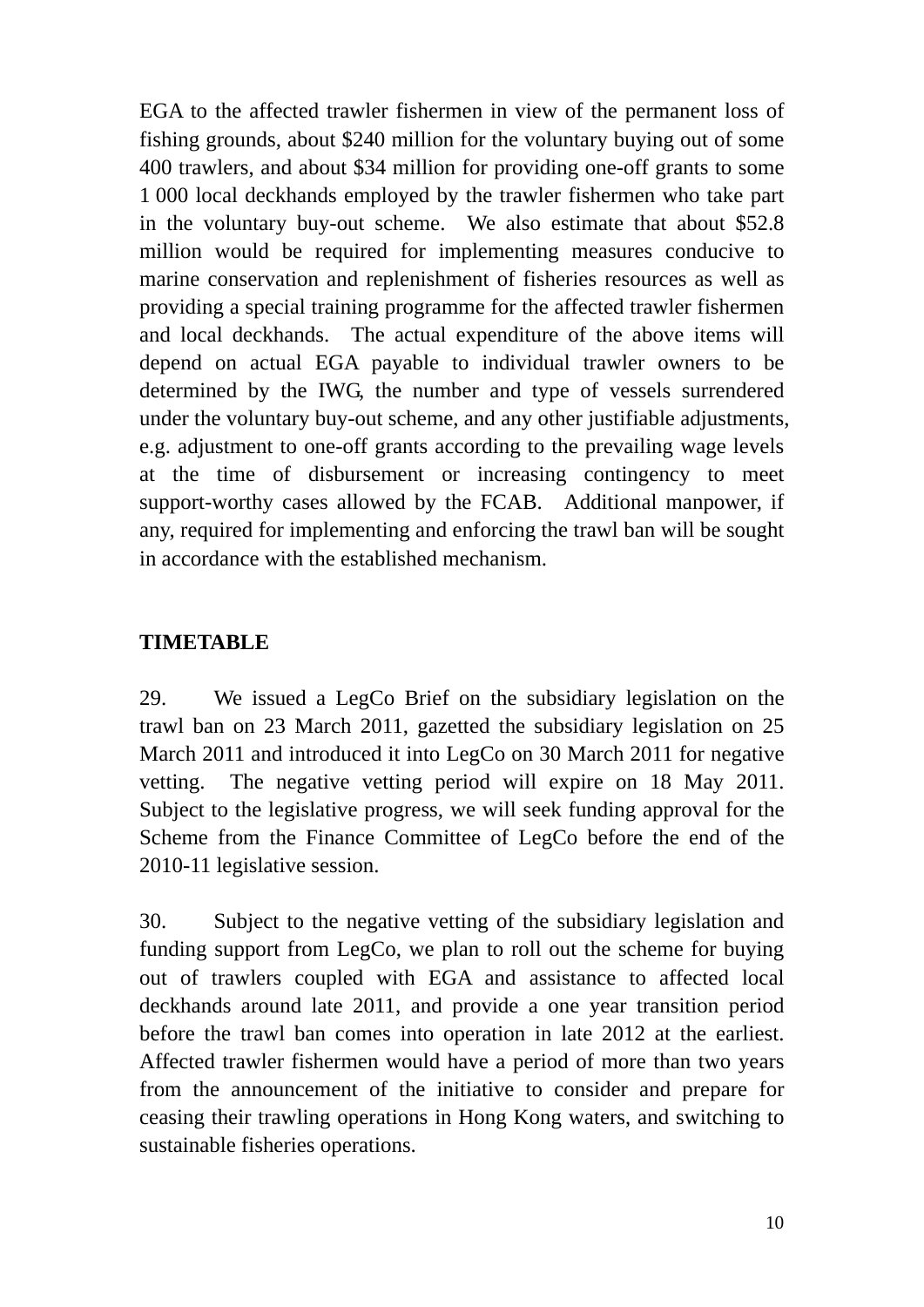EGA to the affected trawler fishermen in view of the permanent loss of fishing grounds, about \$240 million for the voluntary buying out of some 400 trawlers, and about \$34 million for providing one-off grants to some 1 000 local deckhands employed by the trawler fishermen who take part in the voluntary buy-out scheme. We also estimate that about \$52.8 million would be required for implementing measures conducive to marine conservation and replenishment of fisheries resources as well as providing a special training programme for the affected trawler fishermen and local deckhands. The actual expenditure of the above items will depend on actual EGA payable to individual trawler owners to be determined by the IWG, the number and type of vessels surrendered under the voluntary buy-out scheme, and any other justifiable adjustments, e.g. adjustment to one-off grants according to the prevailing wage levels at the time of disbursement or increasing contingency to meet support-worthy cases allowed by the FCAB. Additional manpower, if any, required for implementing and enforcing the trawl ban will be sought in accordance with the established mechanism.

### **TIMETABLE**

29. We issued a LegCo Brief on the subsidiary legislation on the trawl ban on 23 March 2011, gazetted the subsidiary legislation on 25 March 2011 and introduced it into LegCo on 30 March 2011 for negative vetting. The negative vetting period will expire on 18 May 2011. Subject to the legislative progress, we will seek funding approval for the Scheme from the Finance Committee of LegCo before the end of the 2010-11 legislative session.

30. Subject to the negative vetting of the subsidiary legislation and funding support from LegCo, we plan to roll out the scheme for buying out of trawlers coupled with EGA and assistance to affected local deckhands around late 2011, and provide a one year transition period before the trawl ban comes into operation in late 2012 at the earliest. Affected trawler fishermen would have a period of more than two years from the announcement of the initiative to consider and prepare for ceasing their trawling operations in Hong Kong waters, and switching to sustainable fisheries operations.